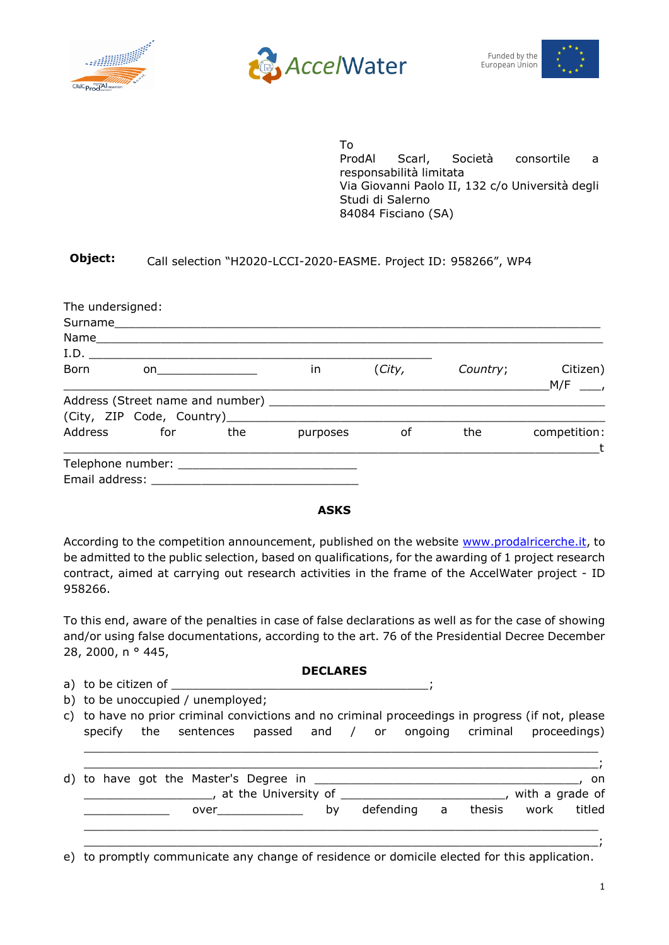



Funded by the European Union



To ProdAl Scarl, Società consortile a responsabilità limitata Via Giovanni Paolo II, 132 c/o Università degli Studi di Salerno 84084 Fisciano (SA)

## **Object:** Call selection "H2020-LCCI-2020-EASME. Project ID: 958266", WP4

| The undersigned:<br>Surname and the state of the state of the state of the state of the state of the state of the state of the state of the state of the state of the state of the state of the state of the state of the state of the state of th |                                                                                                                |      |          |        |          |                              |
|----------------------------------------------------------------------------------------------------------------------------------------------------------------------------------------------------------------------------------------------------|----------------------------------------------------------------------------------------------------------------|------|----------|--------|----------|------------------------------|
|                                                                                                                                                                                                                                                    |                                                                                                                |      |          |        |          |                              |
| Born                                                                                                                                                                                                                                               | on a state of the state of the state of the state of the state of the state of the state of the state of the s | I.D. | in       | (City, | Country; | Citizen)<br>M/F              |
|                                                                                                                                                                                                                                                    |                                                                                                                |      |          |        |          |                              |
|                                                                                                                                                                                                                                                    |                                                                                                                |      |          |        |          |                              |
| Address                                                                                                                                                                                                                                            | for                                                                                                            | the  | purposes | οf     | the      | competition:<br>$\mathbf{t}$ |
| Email address:                                                                                                                                                                                                                                     |                                                                                                                |      |          |        |          |                              |

## **ASKS**

According to the competition announcement, published on the website [www.prodalricerche.it,](http://www.prodalricerche.it/) to be admitted to the public selection, based on qualifications, for the awarding of 1 project research contract, aimed at carrying out research activities in the frame of the AccelWater project - ID 958266.

To this end, aware of the penalties in case of false declarations as well as for the case of showing and/or using false documentations, according to the art. 76 of the Presidential Decree December 28, 2000, n ° 445,

| <b>DECLARES</b>                                                                                  |  |
|--------------------------------------------------------------------------------------------------|--|
|                                                                                                  |  |
| b) to be unoccupied / unemployed;                                                                |  |
| c) to have no prior criminal convictions and no criminal proceedings in progress (if not, please |  |
| specify the sentences passed and / or ongoing criminal proceedings)                              |  |
|                                                                                                  |  |
|                                                                                                  |  |
| on.                                                                                              |  |
| with a grade of                                                                                  |  |
| defending a thesis<br>titled<br>work<br>$over \_$<br>by                                          |  |
|                                                                                                  |  |
|                                                                                                  |  |

e) to promptly communicate any change of residence or domicile elected for this application.